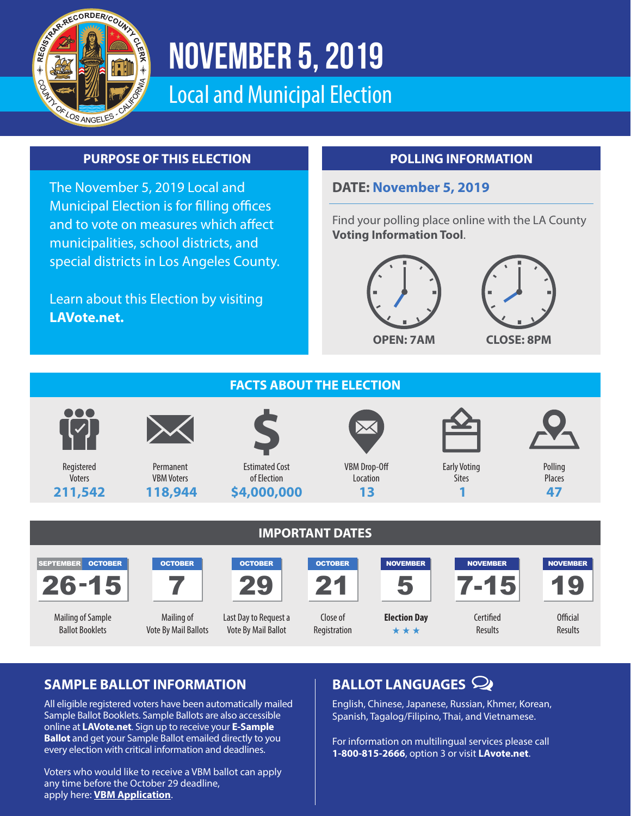

# November 5, 2019

Local and Municipal Election

### **PURPOSE OF THIS ELECTION**

The November 5, 2019 Local and Municipal Election is for filling offices and to vote on measures which affect municipalities, school districts, and special districts in Los Angeles County.

Learn about this Election by visiting **LAVote.net.**

### **POLLING INFORMATION**

#### **DATE: November 5, 2019**

Find your polling place online with the LA County **Voting Information Tool**.







# **SAMPLE BALLOT INFORMATION BALLOT LANGUAGES**

All eligible registered voters have been automatically mailed Sample Ballot Booklets. Sample Ballots are also accessible online at **LAVote.net**. Sign up to receive your **E-Sample Ballot** and get your Sample Ballot emailed directly to you every election with critical information and deadlines.

Voters who would like to receive a VBM ballot can apply any time before the October 29 deadline, apply here: **VBM Application**.

English, Chinese, Japanese, Russian, Khmer, Korean, Spanish, Tagalog/Filipino, Thai, and Vietnamese.

For information on multilingual services please call **1-800-815-2666**, option 3 or visit **LAvote.net**.